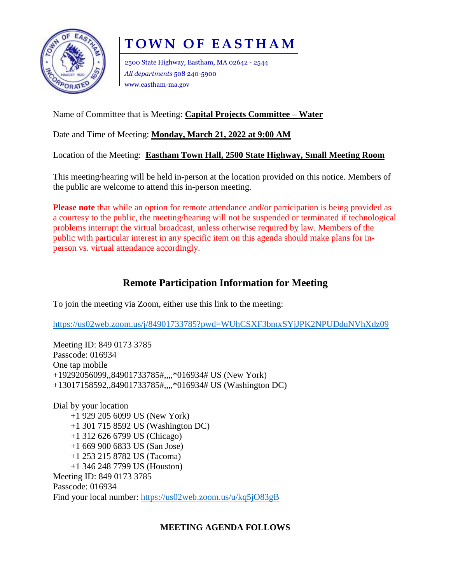

# **TOWN OF EASTHAM**

2500 State Highway, Eastham, MA 02642 - 2544 *All departments* 508 240-5900 www.eastham-ma.gov

## Name of Committee that is Meeting: **Capital Projects Committee – Water**

Date and Time of Meeting: **Monday, March 21, 2022 at 9:00 AM**

Location of the Meeting: **Eastham Town Hall, 2500 State Highway, Small Meeting Room**

This meeting/hearing will be held in-person at the location provided on this notice. Members of the public are welcome to attend this in-person meeting.

**Please note** that while an option for remote attendance and/or participation is being provided as a courtesy to the public, the meeting/hearing will not be suspended or terminated if technological problems interrupt the virtual broadcast, unless otherwise required by law. Members of the public with particular interest in any specific item on this agenda should make plans for inperson vs. virtual attendance accordingly.

## **Remote Participation Information for Meeting**

To join the meeting via Zoom, either use this link to the meeting:

<https://us02web.zoom.us/j/84901733785?pwd=WUhCSXF3bmxSYjJPK2NPUDduNVhXdz09>

Meeting ID: 849 0173 3785 Passcode: 016934 One tap mobile +19292056099,,84901733785#,,,,\*016934# US (New York) +13017158592,,84901733785#,,,,\*016934# US (Washington DC)

Dial by your location +1 929 205 6099 US (New York) +1 301 715 8592 US (Washington DC) +1 312 626 6799 US (Chicago) +1 669 900 6833 US (San Jose) +1 253 215 8782 US (Tacoma) +1 346 248 7799 US (Houston) Meeting ID: 849 0173 3785 Passcode: 016934 Find your local number:<https://us02web.zoom.us/u/kq5jO83gB>

## **MEETING AGENDA FOLLOWS**